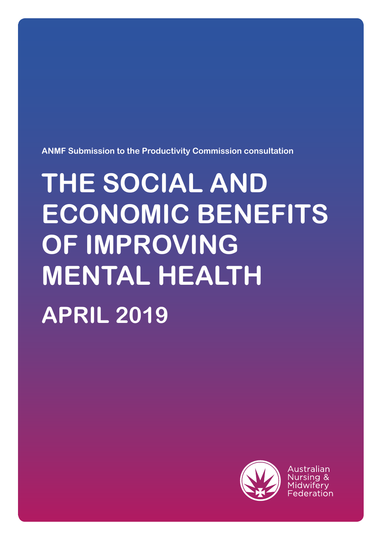**ANMF Submission to the Productivity Commission consultation**

# **THE SOCIAL AND ECONOMIC BENEFITS OF IMPROVING MENTAL HEALTH APRIL 2019**



Australian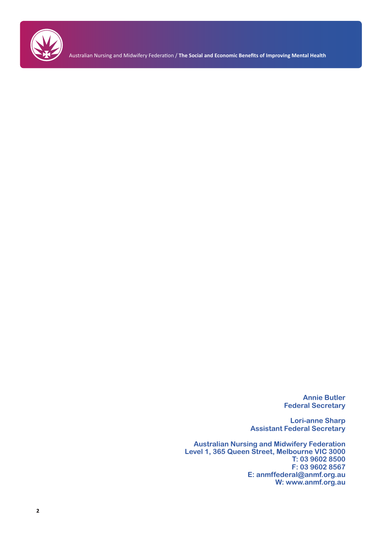

**Annie Butler Federal Secretary**

**Lori-anne Sharp Assistant Federal Secretary**

**Australian Nursing and Midwifery Federation Level 1, 365 Queen Street, Melbourne VIC 3000 T: 03 9602 8500 F: 03 9602 8567 E: anmffederal@anmf.org.au W: www.anmf.org.au**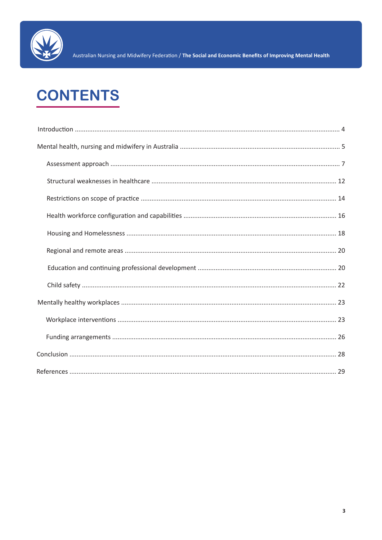

# **CONTENTS**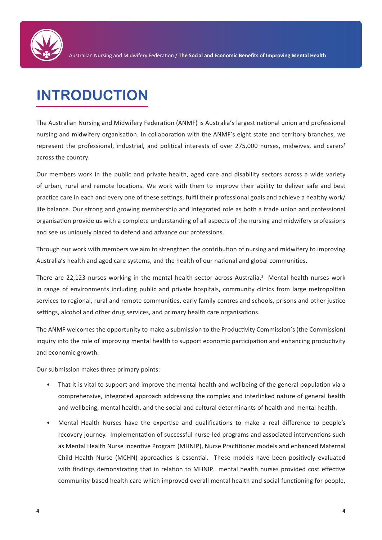

## **INTRODUCTION**

The Australian Nursing and Midwifery Federation (ANMF) is Australia's largest national union and professional nursing and midwifery organisation. In collaboration with the ANMF's eight state and territory branches, we represent the professional, industrial, and political interests of over 275,000 nurses, midwives, and carers<sup>1</sup> across the country.

Our members work in the public and private health, aged care and disability sectors across a wide variety of urban, rural and remote locations. We work with them to improve their ability to deliver safe and best practice care in each and every one of these settings, fulfil their professional goals and achieve a healthy work/ life balance. Our strong and growing membership and integrated role as both a trade union and professional organisation provide us with a complete understanding of all aspects of the nursing and midwifery professions and see us uniquely placed to defend and advance our professions.

Through our work with members we aim to strengthen the contribution of nursing and midwifery to improving Australia's health and aged care systems, and the health of our national and global communities.

There are 22,123 nurses working in the mental health sector across Australia.<sup>2</sup> Mental health nurses work in range of environments including public and private hospitals, community clinics from large metropolitan services to regional, rural and remote communities, early family centres and schools, prisons and other justice settings, alcohol and other drug services, and primary health care organisations.

The ANMF welcomes the opportunity to make a submission to the Productivity Commission's (the Commission) inquiry into the role of improving mental health to support economic participation and enhancing productivity and economic growth.

Our submission makes three primary points:

- That it is vital to support and improve the mental health and wellbeing of the general population via a comprehensive, integrated approach addressing the complex and interlinked nature of general health and wellbeing, mental health, and the social and cultural determinants of health and mental health.
- Mental Health Nurses have the expertise and qualifications to make a real difference to people's recovery journey. Implementation of successful nurse-led programs and associated interventions such as Mental Health Nurse Incentive Program (MHNIP), Nurse Practitioner models and enhanced Maternal Child Health Nurse (MCHN) approaches is essential. These models have been positively evaluated with findings demonstrating that in relation to MHNIP, mental health nurses provided cost effective community-based health care which improved overall mental health and social functioning for people,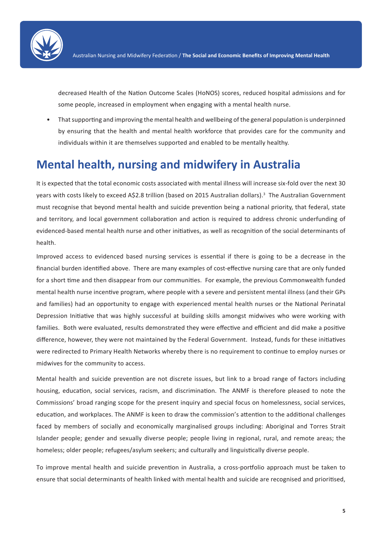

decreased Health of the Nation Outcome Scales (HoNOS) scores, reduced hospital admissions and for some people, increased in employment when engaging with a mental health nurse.

• That supporting and improving the mental health and wellbeing of the general population is underpinned by ensuring that the health and mental health workforce that provides care for the community and individuals within it are themselves supported and enabled to be mentally healthy.

### **Mental health, nursing and midwifery in Australia**

It is expected that the total economic costs associated with mental illness will increase six-fold over the next 30 years with costs likely to exceed A\$2.8 trillion (based on 2015 Australian dollars).<sup>3</sup> The Australian Government must recognise that beyond mental health and suicide prevention being a national priority, that federal, state and territory, and local government collaboration and action is required to address chronic underfunding of evidenced-based mental health nurse and other initiatives, as well as recognition of the social determinants of health.

Improved access to evidenced based nursing services is essential if there is going to be a decrease in the financial burden identified above. There are many examples of cost-effective nursing care that are only funded for a short time and then disappear from our communities. For example, the previous Commonwealth funded mental health nurse incentive program, where people with a severe and persistent mental illness (and their GPs and families) had an opportunity to engage with experienced mental health nurses or the National Perinatal Depression Initiative that was highly successful at building skills amongst midwives who were working with families. Both were evaluated, results demonstrated they were effective and efficient and did make a positive difference, however, they were not maintained by the Federal Government. Instead, funds for these initiatives were redirected to Primary Health Networks whereby there is no requirement to continue to employ nurses or midwives for the community to access.

Mental health and suicide prevention are not discrete issues, but link to a broad range of factors including housing, education, social services, racism, and discrimination. The ANMF is therefore pleased to note the Commissions' broad ranging scope for the present inquiry and special focus on homelessness, social services, education, and workplaces. The ANMF is keen to draw the commission's attention to the additional challenges faced by members of socially and economically marginalised groups including: Aboriginal and Torres Strait Islander people; gender and sexually diverse people; people living in regional, rural, and remote areas; the homeless; older people; refugees/asylum seekers; and culturally and linguistically diverse people.

To improve mental health and suicide prevention in Australia, a cross-portfolio approach must be taken to ensure that social determinants of health linked with mental health and suicide are recognised and prioritised,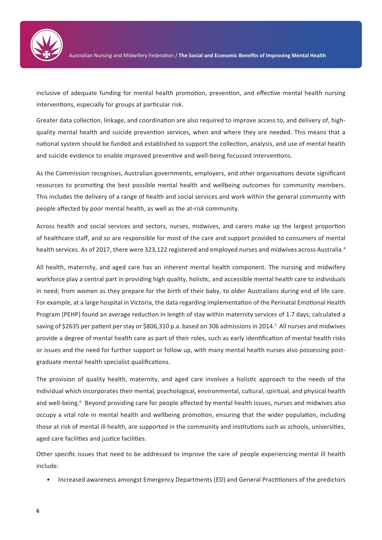

inclusive of adequate funding for mental health promotion, prevention, and effective mental health nursing interventions, especially for groups at particular risk.

Greater data collection, linkage, and coordination are also required to improve access to, and delivery of, highquality mental health and suicide prevention services, when and where they are needed. This means that a national system should be funded and established to support the collection, analysis, and use of mental health and suicide evidence to enable improved preventive and well-being focussed interventions.

As the Commission recognises, Australian governments, employers, and other organisations devote significant resources to promoting the best possible mental health and wellbeing outcomes for community members. This includes the delivery of a range of health and social services and work within the general community with people affected by poor mental health, as well as the at-risk community.

Across health and social services and sectors, nurses, midwives, and carers make up the largest proportion of healthcare staff, and so are responsible for most of the care and support provided to consumers of mental health services. As of 2017, there were 323,122 registered and employed nurses and midwives across Australia.<sup>4</sup>

All health, maternity, and aged care has an inherent mental health component. The nursing and midwifery workforce play a central part in providing high quality, holistic, and accessible mental health care to individuals in need; from women as they prepare for the birth of their baby, to older Australians during end of life care. For example, at a large hospital in Victoria, the data regarding implementation of the Perinatal Emotional Health Program (PEHP) found an average reduction in length of stay within maternity services of 1.7 days; calculated a saving of \$2635 per patient per stay or \$806,310 p.a. based on 306 admissions in 2014.<sup>5</sup> All nurses and midwives provide a degree of mental health care as part of their roles, such as early identification of mental health risks or issues and the need for further support or follow up, with many mental health nurses also possessing postgraduate mental health specialist qualifications.

The provision of quality health, maternity, and aged care involves a holistic approach to the needs of the individual which incorporates their mental, psychological, environmental, cultural, spiritual, and physical health and well-being.<sup>6</sup> Beyond providing care for people affected by mental health issues, nurses and midwives also occupy a vital role in mental health and wellbeing promotion, ensuring that the wider population, including those at risk of mental ill health, are supported in the community and institutions such as schools, universities, aged care facilities and justice facilities.

Other specific issues that need to be addressed to improve the care of people experiencing mental ill health include:

• Increased awareness amongst Emergency Departments (ED) and General Practitioners of the predictors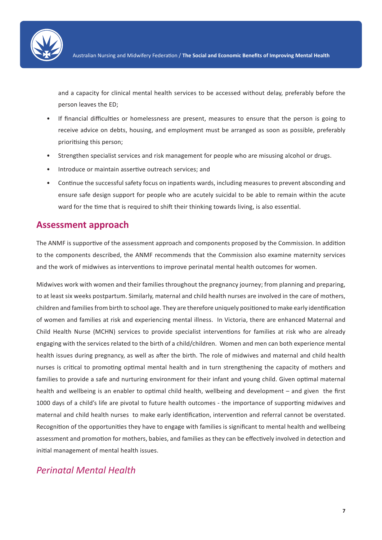

and a capacity for clinical mental health services to be accessed without delay, preferably before the person leaves the ED;

- If financial difficulties or homelessness are present, measures to ensure that the person is going to receive advice on debts, housing, and employment must be arranged as soon as possible, preferably prioritising this person;
- Strengthen specialist services and risk management for people who are misusing alcohol or drugs.
- Introduce or maintain assertive outreach services; and
- Continue the successful safety focus on inpatients wards, including measures to prevent absconding and ensure safe design support for people who are acutely suicidal to be able to remain within the acute ward for the time that is required to shift their thinking towards living, is also essential.

#### **Assessment approach**

The ANMF is supportive of the assessment approach and components proposed by the Commission. In addition to the components described, the ANMF recommends that the Commission also examine maternity services and the work of midwives as interventions to improve perinatal mental health outcomes for women.

Midwives work with women and their families throughout the pregnancy journey; from planning and preparing, to at least six weeks postpartum. Similarly, maternal and child health nurses are involved in the care of mothers, children and families from birth to school age. They are therefore uniquely positioned to make early identification of women and families at risk and experiencing mental illness. In Victoria, there are enhanced Maternal and Child Health Nurse (MCHN) services to provide specialist interventions for families at risk who are already engaging with the services related to the birth of a child/children. Women and men can both experience mental health issues during pregnancy, as well as after the birth. The role of midwives and maternal and child health nurses is critical to promoting optimal mental health and in turn strengthening the capacity of mothers and families to provide a safe and nurturing environment for their infant and young child. Given optimal maternal health and wellbeing is an enabler to optimal child health, wellbeing and development – and given the first 1000 days of a child's life are pivotal to future health outcomes - the importance of supporting midwives and maternal and child health nurses to make early identification, intervention and referral cannot be overstated. Recognition of the opportunities they have to engage with families is significant to mental health and wellbeing assessment and promotion for mothers, babies, and families as they can be effectively involved in detection and initial management of mental health issues.

#### *Perinatal Mental Health*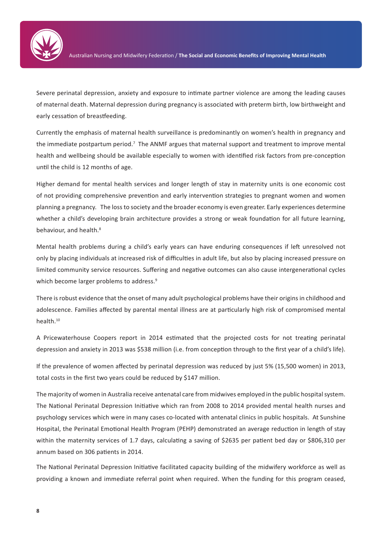

Severe perinatal depression, anxiety and exposure to intimate partner violence are among the leading causes of maternal death. Maternal depression during pregnancy is associated with preterm birth, low birthweight and early cessation of breastfeeding.

Currently the emphasis of maternal health surveillance is predominantly on women's health in pregnancy and the immediate postpartum period.<sup>7</sup> The ANMF argues that maternal support and treatment to improve mental health and wellbeing should be available especially to women with identified risk factors from pre-conception until the child is 12 months of age.

Higher demand for mental health services and longer length of stay in maternity units is one economic cost of not providing comprehensive prevention and early intervention strategies to pregnant women and women planning a pregnancy. The loss to society and the broader economy is even greater. Early experiences determine whether a child's developing brain architecture provides a strong or weak foundation for all future learning, behaviour, and health.<sup>8</sup>

Mental health problems during a child's early years can have enduring consequences if left unresolved not only by placing individuals at increased risk of difficulties in adult life, but also by placing increased pressure on limited community service resources. Suffering and negative outcomes can also cause intergenerational cycles which become larger problems to address.<sup>9</sup>

There is robust evidence that the onset of many adult psychological problems have their origins in childhood and adolescence. Families affected by parental mental illness are at particularly high risk of compromised mental health.10

A Pricewaterhouse Coopers report in 2014 estimated that the projected costs for not treating perinatal depression and anxiety in 2013 was \$538 million (i.e. from conception through to the first year of a child's life).

If the prevalence of women affected by perinatal depression was reduced by just 5% (15,500 women) in 2013, total costs in the first two years could be reduced by \$147 million.

The majority of women in Australia receive antenatal care from midwives employed in the public hospital system. The National Perinatal Depression Initiative which ran from 2008 to 2014 provided mental health nurses and psychology services which were in many cases co-located with antenatal clinics in public hospitals. At Sunshine Hospital, the Perinatal Emotional Health Program (PEHP) demonstrated an average reduction in length of stay within the maternity services of 1.7 days, calculating a saving of \$2635 per patient bed day or \$806,310 per annum based on 306 patients in 2014.

The National Perinatal Depression Initiative facilitated capacity building of the midwifery workforce as well as providing a known and immediate referral point when required. When the funding for this program ceased,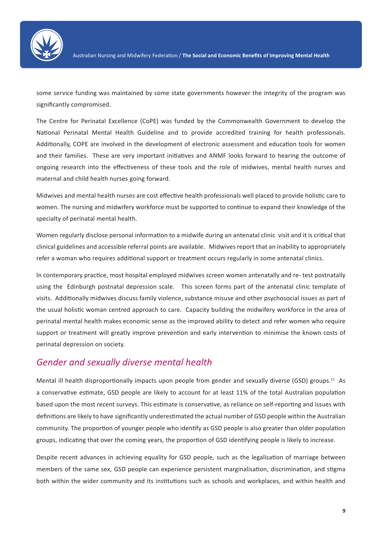

some service funding was maintained by some state governments however the integrity of the program was significantly compromised.

The Centre for Perinatal Excellence (CoPE) was funded by the Commonwealth Government to develop the National Perinatal Mental Health Guideline and to provide accredited training for health professionals. Additionally, COPE are involved in the development of electronic assessment and education tools for women and their families. These are very important initiatives and ANMF looks forward to hearing the outcome of ongoing research into the effectiveness of these tools and the role of midwives, mental health nurses and maternal and child health nurses going forward.

Midwives and mental health nurses are cost effective health professionals well placed to provide holistic care to women. The nursing and midwifery workforce must be supported to continue to expand their knowledge of the specialty of perinatal mental health.

Women regularly disclose personal information to a midwife during an antenatal clinic visit and it is critical that clinical guidelines and accessible referral points are available. Midwives report that an inability to appropriately refer a woman who requires additional support or treatment occurs regularly in some antenatal clinics.

In contemporary practice, most hospital employed midwives screen women antenatally and re- test postnatally using the Edinburgh postnatal depression scale. This screen forms part of the antenatal clinic template of visits. Additionally midwives discuss family violence, substance misuse and other psychosocial issues as part of the usual holistic woman centred approach to care. Capacity building the midwifery workforce in the area of perinatal mental health makes economic sense as the improved ability to detect and refer women who require support or treatment will greatly improve prevention and early intervention to minimise the known costs of perinatal depression on society.

#### *Gender and sexually diverse mental health*

Mental ill health disproportionally impacts upon people from gender and sexually diverse (GSD) groups.<sup>11</sup> As a conservative estimate, GSD people are likely to account for at least 11% of the total Australian population based upon the most recent surveys. This estimate is conservative, as reliance on self-reporting and issues with definitions are likely to have significantly underestimated the actual number of GSD people within the Australian community. The proportion of younger people who identify as GSD people is also greater than older population groups, indicating that over the coming years, the proportion of GSD identifying people is likely to increase.

Despite recent advances in achieving equality for GSD people, such as the legalisation of marriage between members of the same sex, GSD people can experience persistent marginalisation, discrimination, and stigma both within the wider community and its institutions such as schools and workplaces, and within health and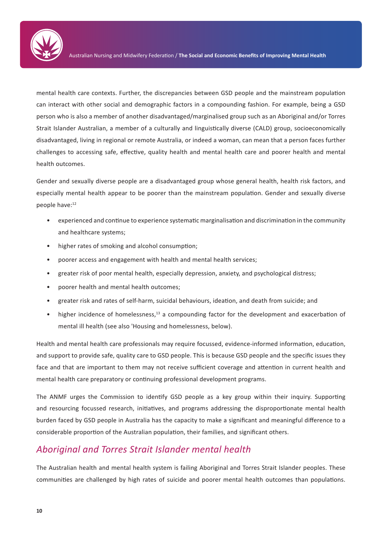

mental health care contexts. Further, the discrepancies between GSD people and the mainstream population can interact with other social and demographic factors in a compounding fashion. For example, being a GSD person who is also a member of another disadvantaged/marginalised group such as an Aboriginal and/or Torres Strait Islander Australian, a member of a culturally and linguistically diverse (CALD) group, socioeconomically disadvantaged, living in regional or remote Australia, or indeed a woman, can mean that a person faces further challenges to accessing safe, effective, quality health and mental health care and poorer health and mental health outcomes.

Gender and sexually diverse people are a disadvantaged group whose general health, health risk factors, and especially mental health appear to be poorer than the mainstream population. Gender and sexually diverse people have:<sup>12</sup>

- experienced and continue to experience systematic marginalisation and discrimination in the community and healthcare systems;
- higher rates of smoking and alcohol consumption;
- poorer access and engagement with health and mental health services;
- greater risk of poor mental health, especially depression, anxiety, and psychological distress;
- poorer health and mental health outcomes;
- greater risk and rates of self-harm, suicidal behaviours, ideation, and death from suicide; and
- higher incidence of homelessness,<sup>13</sup> a compounding factor for the development and exacerbation of mental ill health (see also 'Housing and homelessness, below).

Health and mental health care professionals may require focussed, evidence-informed information, education, and support to provide safe, quality care to GSD people. This is because GSD people and the specific issues they face and that are important to them may not receive sufficient coverage and attention in current health and mental health care preparatory or continuing professional development programs.

The ANMF urges the Commission to identify GSD people as a key group within their inquiry. Supporting and resourcing focussed research, initiatives, and programs addressing the disproportionate mental health burden faced by GSD people in Australia has the capacity to make a significant and meaningful difference to a considerable proportion of the Australian population, their families, and significant others.

#### *Aboriginal and Torres Strait Islander mental health*

The Australian health and mental health system is failing Aboriginal and Torres Strait Islander peoples. These communities are challenged by high rates of suicide and poorer mental health outcomes than populations.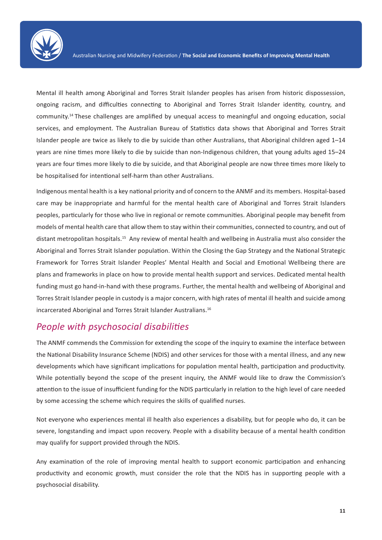

Mental ill health among Aboriginal and Torres Strait Islander peoples has arisen from historic dispossession, ongoing racism, and difficulties connecting to Aboriginal and Torres Strait Islander identity, country, and community.14 These challenges are amplified by unequal access to meaningful and ongoing education, social services, and employment. The Australian Bureau of Statistics data shows that Aboriginal and Torres Strait Islander people are twice as likely to die by suicide than other Australians, that Aboriginal children aged 1–14 years are nine times more likely to die by suicide than non-Indigenous children, that young adults aged 15–24 years are four times more likely to die by suicide, and that Aboriginal people are now three times more likely to be hospitalised for intentional self-harm than other Australians.

Indigenous mental health is a key national priority and of concern to the ANMF and its members. Hospital-based care may be inappropriate and harmful for the mental health care of Aboriginal and Torres Strait Islanders peoples, particularly for those who live in regional or remote communities. Aboriginal people may benefit from models of mental health care that allow them to stay within their communities, connected to country, and out of distant metropolitan hospitals.15 Any review of mental health and wellbeing in Australia must also consider the Aboriginal and Torres Strait Islander population. Within the Closing the Gap Strategy and the National Strategic Framework for Torres Strait Islander Peoples' Mental Health and Social and Emotional Wellbeing there are plans and frameworks in place on how to provide mental health support and services. Dedicated mental health funding must go hand-in-hand with these programs. Further, the mental health and wellbeing of Aboriginal and Torres Strait Islander people in custody is a major concern, with high rates of mental ill health and suicide among incarcerated Aboriginal and Torres Strait Islander Australians.16

#### *People with psychosocial disabilities*

The ANMF commends the Commission for extending the scope of the inquiry to examine the interface between the National Disability Insurance Scheme (NDIS) and other services for those with a mental illness, and any new developments which have significant implications for population mental health, participation and productivity. While potentially beyond the scope of the present inquiry, the ANMF would like to draw the Commission's attention to the issue of insufficient funding for the NDIS particularly in relation to the high level of care needed by some accessing the scheme which requires the skills of qualified nurses.

Not everyone who experiences mental ill health also experiences a disability, but for people who do, it can be severe, longstanding and impact upon recovery. People with a disability because of a mental health condition may qualify for support provided through the NDIS.

Any examination of the role of improving mental health to support economic participation and enhancing productivity and economic growth, must consider the role that the NDIS has in supporting people with a psychosocial disability.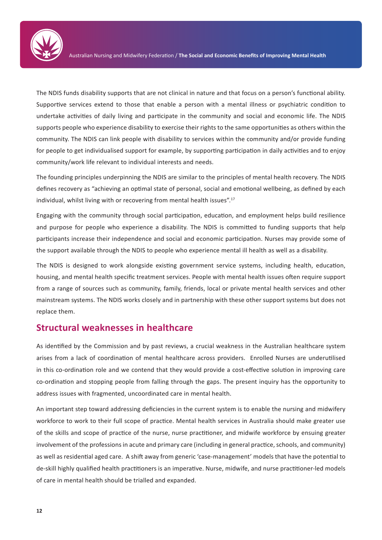

The NDIS funds disability supports that are not clinical in nature and that focus on a person's functional ability. Supportive services extend to those that enable a person with a mental illness or psychiatric condition to undertake activities of daily living and participate in the community and social and economic life. The NDIS supports people who experience disability to exercise their rights to the same opportunities as others within the community. The NDIS can link people with disability to services within the community and/or provide funding for people to get individualised support for example, by supporting participation in daily activities and to enjoy community/work life relevant to individual interests and needs.

The founding principles underpinning the NDIS are similar to the principles of mental health recovery. The NDIS defines recovery as "achieving an optimal state of personal, social and emotional wellbeing, as defined by each individual, whilst living with or recovering from mental health issues".<sup>17</sup>

Engaging with the community through social participation, education, and employment helps build resilience and purpose for people who experience a disability. The NDIS is committed to funding supports that help participants increase their independence and social and economic participation. Nurses may provide some of the support available through the NDIS to people who experience mental ill health as well as a disability.

The NDIS is designed to work alongside existing government service systems, including health, education, housing, and mental health specific treatment services. People with mental health issues often require support from a range of sources such as community, family, friends, local or private mental health services and other mainstream systems. The NDIS works closely and in partnership with these other support systems but does not replace them.

#### **Structural weaknesses in healthcare**

As identified by the Commission and by past reviews, a crucial weakness in the Australian healthcare system arises from a lack of coordination of mental healthcare across providers. Enrolled Nurses are underutilised in this co-ordination role and we contend that they would provide a cost-effective solution in improving care co-ordination and stopping people from falling through the gaps. The present inquiry has the opportunity to address issues with fragmented, uncoordinated care in mental health.

An important step toward addressing deficiencies in the current system is to enable the nursing and midwifery workforce to work to their full scope of practice. Mental health services in Australia should make greater use of the skills and scope of practice of the nurse, nurse practitioner, and midwife workforce by ensuing greater involvement of the professions in acute and primary care (including in general practice, schools, and community) as well as residential aged care. A shift away from generic 'case-management' models that have the potential to de-skill highly qualified health practitioners is an imperative. Nurse, midwife, and nurse practitioner-led models of care in mental health should be trialled and expanded.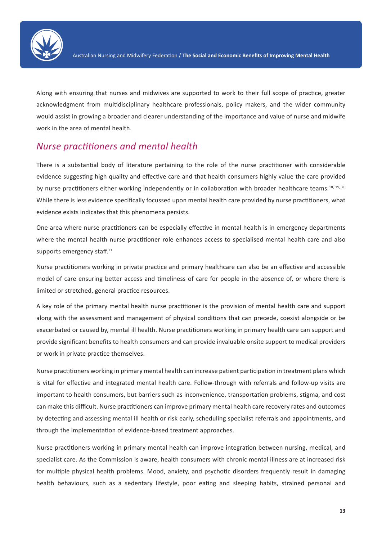

Along with ensuring that nurses and midwives are supported to work to their full scope of practice, greater acknowledgment from multidisciplinary healthcare professionals, policy makers, and the wider community would assist in growing a broader and clearer understanding of the importance and value of nurse and midwife work in the area of mental health.

#### *Nurse practitioners and mental health*

There is a substantial body of literature pertaining to the role of the nurse practitioner with considerable evidence suggesting high quality and effective care and that health consumers highly value the care provided by nurse practitioners either working independently or in collaboration with broader healthcare teams.<sup>18, 19, 20</sup> While there is less evidence specifically focussed upon mental health care provided by nurse practitioners, what evidence exists indicates that this phenomena persists.

One area where nurse practitioners can be especially effective in mental health is in emergency departments where the mental health nurse practitioner role enhances access to specialised mental health care and also supports emergency staff.<sup>21</sup>

Nurse practitioners working in private practice and primary healthcare can also be an effective and accessible model of care ensuring better access and timeliness of care for people in the absence of, or where there is limited or stretched, general practice resources.

A key role of the primary mental health nurse practitioner is the provision of mental health care and support along with the assessment and management of physical conditions that can precede, coexist alongside or be exacerbated or caused by, mental ill health. Nurse practitioners working in primary health care can support and provide significant benefits to health consumers and can provide invaluable onsite support to medical providers or work in private practice themselves.

Nurse practitioners working in primary mental health can increase patient participation in treatment plans which is vital for effective and integrated mental health care. Follow-through with referrals and follow-up visits are important to health consumers, but barriers such as inconvenience, transportation problems, stigma, and cost can make this difficult. Nurse practitioners can improve primary mental health care recovery rates and outcomes by detecting and assessing mental ill health or risk early, scheduling specialist referrals and appointments, and through the implementation of evidence-based treatment approaches.

Nurse practitioners working in primary mental health can improve integration between nursing, medical, and specialist care. As the Commission is aware, health consumers with chronic mental illness are at increased risk for multiple physical health problems. Mood, anxiety, and psychotic disorders frequently result in damaging health behaviours, such as a sedentary lifestyle, poor eating and sleeping habits, strained personal and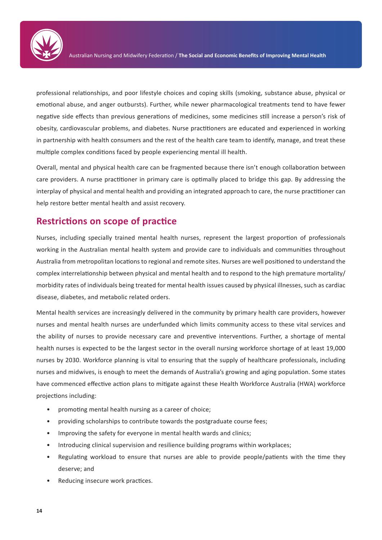

professional relationships, and poor lifestyle choices and coping skills (smoking, substance abuse, physical or emotional abuse, and anger outbursts). Further, while newer pharmacological treatments tend to have fewer negative side effects than previous generations of medicines, some medicines still increase a person's risk of obesity, cardiovascular problems, and diabetes. Nurse practitioners are educated and experienced in working in partnership with health consumers and the rest of the health care team to identify, manage, and treat these multiple complex conditions faced by people experiencing mental ill health.

Overall, mental and physical health care can be fragmented because there isn't enough collaboration between care providers. A nurse practitioner in primary care is optimally placed to bridge this gap. By addressing the interplay of physical and mental health and providing an integrated approach to care, the nurse practitioner can help restore better mental health and assist recovery.

#### **Restrictions on scope of practice**

Nurses, including specially trained mental health nurses, represent the largest proportion of professionals working in the Australian mental health system and provide care to individuals and communities throughout Australia from metropolitan locations to regional and remote sites. Nurses are well positioned to understand the complex interrelationship between physical and mental health and to respond to the high premature mortality/ morbidity rates of individuals being treated for mental health issues caused by physical illnesses, such as cardiac disease, diabetes, and metabolic related orders.

Mental health services are increasingly delivered in the community by primary health care providers, however nurses and mental health nurses are underfunded which limits community access to these vital services and the ability of nurses to provide necessary care and preventive interventions. Further, a shortage of mental health nurses is expected to be the largest sector in the overall nursing workforce shortage of at least 19,000 nurses by 2030. Workforce planning is vital to ensuring that the supply of healthcare professionals, including nurses and midwives, is enough to meet the demands of Australia's growing and aging population. Some states have commenced effective action plans to mitigate against these Health Workforce Australia (HWA) workforce projections including:

- promoting mental health nursing as a career of choice;
- providing scholarships to contribute towards the postgraduate course fees;
- Improving the safety for everyone in mental health wards and clinics;
- Introducing clinical supervision and resilience building programs within workplaces;
- Regulating workload to ensure that nurses are able to provide people/patients with the time they deserve; and
- Reducing insecure work practices.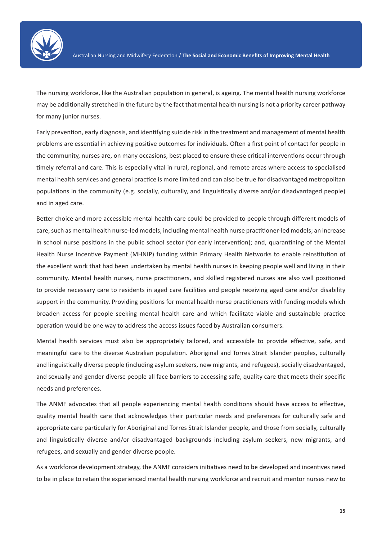

The nursing workforce, like the Australian population in general, is ageing. The mental health nursing workforce may be additionally stretched in the future by the fact that mental health nursing is not a priority career pathway for many junior nurses.

Early prevention, early diagnosis, and identifying suicide risk in the treatment and management of mental health problems are essential in achieving positive outcomes for individuals. Often a first point of contact for people in the community, nurses are, on many occasions, best placed to ensure these critical interventions occur through timely referral and care. This is especially vital in rural, regional, and remote areas where access to specialised mental health services and general practice is more limited and can also be true for disadvantaged metropolitan populations in the community (e.g. socially, culturally, and linguistically diverse and/or disadvantaged people) and in aged care.

Better choice and more accessible mental health care could be provided to people through different models of care, such as mental health nurse-led models, including mental health nurse practitioner-led models; an increase in school nurse positions in the public school sector (for early intervention); and, quarantining of the Mental Health Nurse Incentive Payment (MHNIP) funding within Primary Health Networks to enable reinstitution of the excellent work that had been undertaken by mental health nurses in keeping people well and living in their community. Mental health nurses, nurse practitioners, and skilled registered nurses are also well positioned to provide necessary care to residents in aged care facilities and people receiving aged care and/or disability support in the community. Providing positions for mental health nurse practitioners with funding models which broaden access for people seeking mental health care and which facilitate viable and sustainable practice operation would be one way to address the access issues faced by Australian consumers.

Mental health services must also be appropriately tailored, and accessible to provide effective, safe, and meaningful care to the diverse Australian population. Aboriginal and Torres Strait Islander peoples, culturally and linguistically diverse people (including asylum seekers, new migrants, and refugees), socially disadvantaged, and sexually and gender diverse people all face barriers to accessing safe, quality care that meets their specific needs and preferences.

The ANMF advocates that all people experiencing mental health conditions should have access to effective, quality mental health care that acknowledges their particular needs and preferences for culturally safe and appropriate care particularly for Aboriginal and Torres Strait Islander people, and those from socially, culturally and linguistically diverse and/or disadvantaged backgrounds including asylum seekers, new migrants, and refugees, and sexually and gender diverse people.

As a workforce development strategy, the ANMF considers initiatives need to be developed and incentives need to be in place to retain the experienced mental health nursing workforce and recruit and mentor nurses new to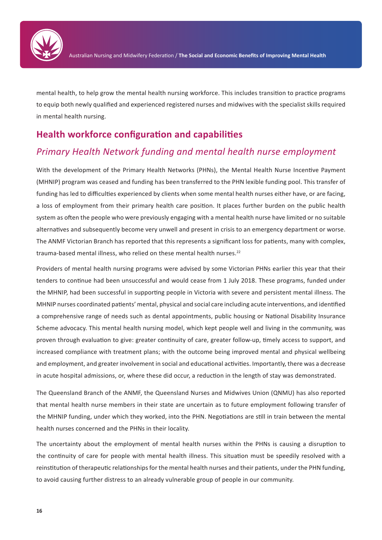

mental health, to help grow the mental health nursing workforce. This includes transition to practice programs to equip both newly qualified and experienced registered nurses and midwives with the specialist skills required in mental health nursing.

#### **Health workforce configuration and capabilities**

#### *Primary Health Network funding and mental health nurse employment*

With the development of the Primary Health Networks (PHNs), the Mental Health Nurse Incentive Payment (MHNIP) program was ceased and funding has been transferred to the PHN lexible funding pool. This transfer of funding has led to difficulties experienced by clients when some mental health nurses either have, or are facing, a loss of employment from their primary health care position. It places further burden on the public health system as often the people who were previously engaging with a mental health nurse have limited or no suitable alternatives and subsequently become very unwell and present in crisis to an emergency department or worse. The ANMF Victorian Branch has reported that this represents a significant loss for patients, many with complex, trauma-based mental illness, who relied on these mental health nurses.<sup>22</sup>

Providers of mental health nursing programs were advised by some Victorian PHNs earlier this year that their tenders to continue had been unsuccessful and would cease from 1 July 2018. These programs, funded under the MHNIP, had been successful in supporting people in Victoria with severe and persistent mental illness. The MHNIP nurses coordinated patients' mental, physical and social care including acute interventions, and identified a comprehensive range of needs such as dental appointments, public housing or National Disability Insurance Scheme advocacy. This mental health nursing model, which kept people well and living in the community, was proven through evaluation to give: greater continuity of care, greater follow-up, timely access to support, and increased compliance with treatment plans; with the outcome being improved mental and physical wellbeing and employment, and greater involvement in social and educational activities. Importantly, there was a decrease in acute hospital admissions, or, where these did occur, a reduction in the length of stay was demonstrated.

The Queensland Branch of the ANMF, the Queensland Nurses and Midwives Union (QNMU) has also reported that mental health nurse members in their state are uncertain as to future employment following transfer of the MHNIP funding, under which they worked, into the PHN. Negotiations are still in train between the mental health nurses concerned and the PHNs in their locality.

The uncertainty about the employment of mental health nurses within the PHNs is causing a disruption to the continuity of care for people with mental health illness. This situation must be speedily resolved with a reinstitution of therapeutic relationships for the mental health nurses and their patients, under the PHN funding, to avoid causing further distress to an already vulnerable group of people in our community.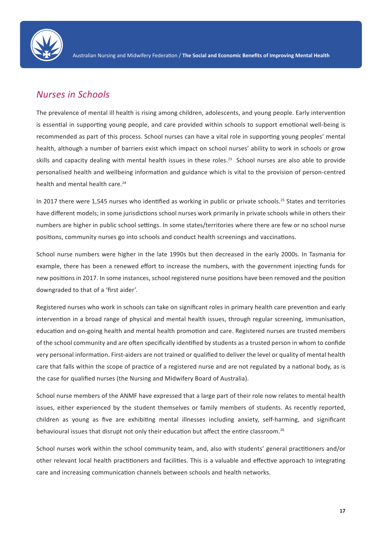

#### *Nurses in Schools*

The prevalence of mental ill health is rising among children, adolescents, and young people. Early intervention is essential in supporting young people, and care provided within schools to support emotional well-being is recommended as part of this process. School nurses can have a vital role in supporting young peoples' mental health, although a number of barriers exist which impact on school nurses' ability to work in schools or grow skills and capacity dealing with mental health issues in these roles.<sup>23</sup> School nurses are also able to provide personalised health and wellbeing information and guidance which is vital to the provision of person-centred health and mental health care.<sup>24</sup>

In 2017 there were 1,545 nurses who identified as working in public or private schools.<sup>25</sup> States and territories have different models; in some jurisdictions school nurses work primarily in private schools while in others their numbers are higher in public school settings. In some states/territories where there are few or no school nurse positions, community nurses go into schools and conduct health screenings and vaccinations.

School nurse numbers were higher in the late 1990s but then decreased in the early 2000s. In Tasmania for example, there has been a renewed effort to increase the numbers, with the government injecting funds for new positions in 2017. In some instances, school registered nurse positions have been removed and the position downgraded to that of a 'first aider'.

Registered nurses who work in schools can take on significant roles in primary health care prevention and early intervention in a broad range of physical and mental health issues, through regular screening, immunisation, education and on-going health and mental health promotion and care. Registered nurses are trusted members of the school community and are often specifically identified by students as a trusted person in whom to confide very personal information. First-aiders are not trained or qualified to deliver the level or quality of mental health care that falls within the scope of practice of a registered nurse and are not regulated by a national body, as is the case for qualified nurses (the Nursing and Midwifery Board of Australia).

School nurse members of the ANMF have expressed that a large part of their role now relates to mental health issues, either experienced by the student themselves or family members of students. As recently reported, children as young as five are exhibiting mental illnesses including anxiety, self-harming, and significant behavioural issues that disrupt not only their education but affect the entire classroom.<sup>26</sup>

School nurses work within the school community team, and, also with students' general practitioners and/or other relevant local health practitioners and facilities. This is a valuable and effective approach to integrating care and increasing communication channels between schools and health networks.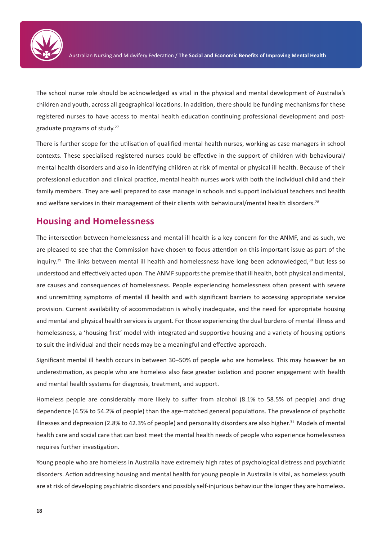

The school nurse role should be acknowledged as vital in the physical and mental development of Australia's children and youth, across all geographical locations. In addition, there should be funding mechanisms for these registered nurses to have access to mental health education continuing professional development and postgraduate programs of study.27

There is further scope for the utilisation of qualified mental health nurses, working as case managers in school contexts. These specialised registered nurses could be effective in the support of children with behavioural/ mental health disorders and also in identifying children at risk of mental or physical ill health. Because of their professional education and clinical practice, mental health nurses work with both the individual child and their family members. They are well prepared to case manage in schools and support individual teachers and health and welfare services in their management of their clients with behavioural/mental health disorders.<sup>28</sup>

#### **Housing and Homelessness**

The intersection between homelessness and mental ill health is a key concern for the ANMF, and as such, we are pleased to see that the Commission have chosen to focus attention on this important issue as part of the inquiry.<sup>29</sup> The links between mental ill health and homelessness have long been acknowledged,<sup>30</sup> but less so understood and effectively acted upon. The ANMF supports the premise that ill health, both physical and mental, are causes and consequences of homelessness. People experiencing homelessness often present with severe and unremitting symptoms of mental ill health and with significant barriers to accessing appropriate service provision. Current availability of accommodation is wholly inadequate, and the need for appropriate housing and mental and physical health services is urgent. For those experiencing the dual burdens of mental illness and homelessness, a 'housing first' model with integrated and supportive housing and a variety of housing options to suit the individual and their needs may be a meaningful and effective approach.

Significant mental ill health occurs in between 30–50% of people who are homeless. This may however be an underestimation, as people who are homeless also face greater isolation and poorer engagement with health and mental health systems for diagnosis, treatment, and support.

Homeless people are considerably more likely to suffer from alcohol (8.1% to 58.5% of people) and drug dependence (4.5% to 54.2% of people) than the age-matched general populations. The prevalence of psychotic illnesses and depression (2.8% to 42.3% of people) and personality disorders are also higher.<sup>31</sup> Models of mental health care and social care that can best meet the mental health needs of people who experience homelessness requires further investigation.

Young people who are homeless in Australia have extremely high rates of psychological distress and psychiatric disorders. Action addressing housing and mental health for young people in Australia is vital, as homeless youth are at risk of developing psychiatric disorders and possibly self-injurious behaviour the longer they are homeless.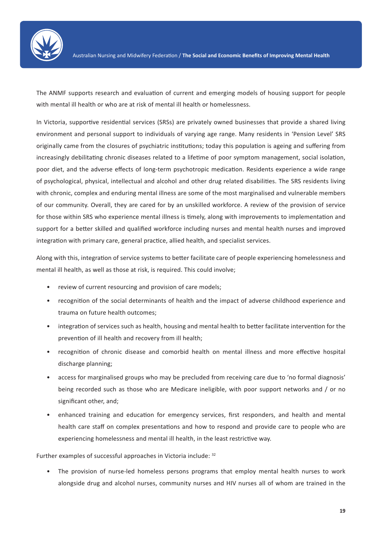

The ANMF supports research and evaluation of current and emerging models of housing support for people with mental ill health or who are at risk of mental ill health or homelessness.

In Victoria, supportive residential services (SRSs) are privately owned businesses that provide a shared living environment and personal support to individuals of varying age range. Many residents in 'Pension Level' SRS originally came from the closures of psychiatric institutions; today this population is ageing and suffering from increasingly debilitating chronic diseases related to a lifetime of poor symptom management, social isolation, poor diet, and the adverse effects of long-term psychotropic medication. Residents experience a wide range of psychological, physical, intellectual and alcohol and other drug related disabilities. The SRS residents living with chronic, complex and enduring mental illness are some of the most marginalised and vulnerable members of our community. Overall, they are cared for by an unskilled workforce. A review of the provision of service for those within SRS who experience mental illness is timely, along with improvements to implementation and support for a better skilled and qualified workforce including nurses and mental health nurses and improved integration with primary care, general practice, allied health, and specialist services.

Along with this, integration of service systems to better facilitate care of people experiencing homelessness and mental ill health, as well as those at risk, is required. This could involve;

- review of current resourcing and provision of care models;
- recognition of the social determinants of health and the impact of adverse childhood experience and trauma on future health outcomes;
- integration of services such as health, housing and mental health to better facilitate intervention for the prevention of ill health and recovery from ill health;
- recognition of chronic disease and comorbid health on mental illness and more effective hospital discharge planning;
- access for marginalised groups who may be precluded from receiving care due to 'no formal diagnosis' being recorded such as those who are Medicare ineligible, with poor support networks and / or no significant other, and;
- enhanced training and education for emergency services, first responders, and health and mental health care staff on complex presentations and how to respond and provide care to people who are experiencing homelessness and mental ill health, in the least restrictive way.

Further examples of successful approaches in Victoria include: 32

• The provision of nurse-led homeless persons programs that employ mental health nurses to work alongside drug and alcohol nurses, community nurses and HIV nurses all of whom are trained in the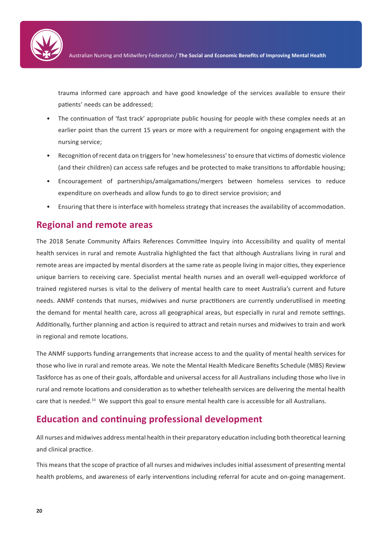

trauma informed care approach and have good knowledge of the services available to ensure their patients' needs can be addressed;

- The continuation of 'fast track' appropriate public housing for people with these complex needs at an earlier point than the current 15 years or more with a requirement for ongoing engagement with the nursing service;
- Recognition of recent data on triggers for 'new homelessness' to ensure that victims of domestic violence (and their children) can access safe refuges and be protected to make transitions to affordable housing;
- Encouragement of partnerships/amalgamations/mergers between homeless services to reduce expenditure on overheads and allow funds to go to direct service provision; and
- Ensuring that there is interface with homeless strategy that increases the availability of accommodation.

#### **Regional and remote areas**

The 2018 Senate Community Affairs References Committee Inquiry into Accessibility and quality of mental health services in rural and remote Australia highlighted the fact that although Australians living in rural and remote areas are impacted by mental disorders at the same rate as people living in major cities, they experience unique barriers to receiving care. Specialist mental health nurses and an overall well-equipped workforce of trained registered nurses is vital to the delivery of mental health care to meet Australia's current and future needs. ANMF contends that nurses, midwives and nurse practitioners are currently underutilised in meeting the demand for mental health care, across all geographical areas, but especially in rural and remote settings. Additionally, further planning and action is required to attract and retain nurses and midwives to train and work in regional and remote locations.

The ANMF supports funding arrangements that increase access to and the quality of mental health services for those who live in rural and remote areas. We note the Mental Health Medicare Benefits Schedule (MBS) Review Taskforce has as one of their goals, affordable and universal access for all Australians including those who live in rural and remote locations and consideration as to whether telehealth services are delivering the mental health care that is needed.<sup>33</sup> We support this goal to ensure mental health care is accessible for all Australians.

#### **Education and continuing professional development**

All nurses and midwives address mental health in their preparatory education including both theoretical learning and clinical practice.

This means that the scope of practice of all nurses and midwives includes initial assessment of presenting mental health problems, and awareness of early interventions including referral for acute and on-going management.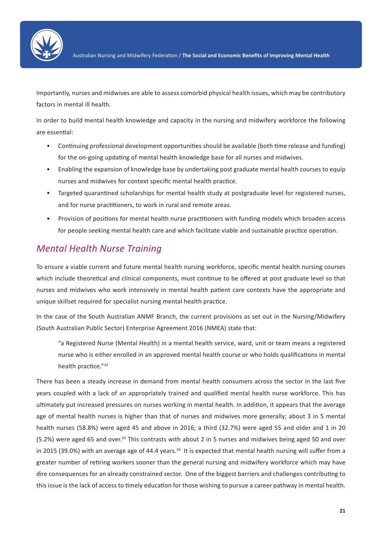

Importantly, nurses and midwives are able to assess comorbid physical health issues, which may be contributory factors in mental ill health.

In order to build mental health knowledge and capacity in the nursing and midwifery workforce the following are essential:

- Continuing professional development opportunities should be available (both time release and funding) for the on-going updating of mental health knowledge base for all nurses and midwives.
- Enabling the expansion of knowledge base by undertaking post graduate mental health courses to equip nurses and midwives for context specific mental health practice.
- Targeted quarantined scholarships for mental health study at postgraduate level for registered nurses, and for nurse practitioners, to work in rural and remote areas.
- Provision of positions for mental health nurse practitioners with funding models which broaden access for people seeking mental health care and which facilitate viable and sustainable practice operation.

#### *Mental Health Nurse Training*

To ensure a viable current and future mental health nursing workforce, specific mental health nursing courses which include theoretical and clinical components, must continue to be offered at post graduate level so that nurses and midwives who work intensively in mental health patient care contexts have the appropriate and unique skillset required for specialist nursing mental health practice.

In the case of the South Australian ANMF Branch, the current provisions as set out in the Nursing/Midwifery (South Australian Public Sector) Enterprise Agreement 2016 (NMEA) state that:

"a Registered Nurse (Mental Health) in a mental health service, ward, unit or team means a registered nurse who is either enrolled in an approved mental health course or who holds qualifications in mental health practice."34

There has been a steady increase in demand from mental health consumers across the sector in the last five years coupled with a lack of an appropriately trained and qualified mental health nurse workforce. This has ultimately put increased pressures on nurses working in mental health. In addition, it appears that the average age of mental health nurses is higher than that of nurses and midwives more generally; about 3 in 5 mental health nurses (58.8%) were aged 45 and above in 2016; a third (32.7%) were aged 55 and older and 1 in 20 (5.2%) were aged 65 and over.<sup>35</sup> This contrasts with about 2 in 5 nurses and midwives being aged 50 and over in 2015 (39.0%) with an average age of 44.4 years.<sup>36</sup> It is expected that mental health nursing will suffer from a greater number of retiring workers sooner than the general nursing and midwifery workforce which may have dire consequences for an already constrained sector. One of the biggest barriers and challenges contributing to this issue is the lack of access to timely education for those wishing to pursue a career pathway in mental health.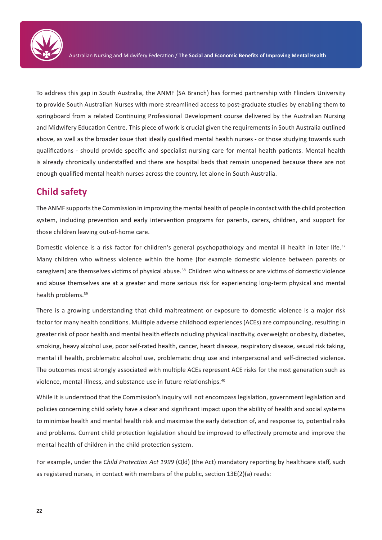

To address this gap in South Australia, the ANMF (SA Branch) has formed partnership with Flinders University to provide South Australian Nurses with more streamlined access to post-graduate studies by enabling them to springboard from a related Continuing Professional Development course delivered by the Australian Nursing and Midwifery Education Centre. This piece of work is crucial given the requirements in South Australia outlined above, as well as the broader issue that ideally qualified mental health nurses - or those studying towards such qualifications - should provide specific and specialist nursing care for mental health patients. Mental health is already chronically understaffed and there are hospital beds that remain unopened because there are not enough qualified mental health nurses across the country, let alone in South Australia.

#### **Child safety**

The ANMF supports the Commission in improving the mental health of people in contact with the child protection system, including prevention and early intervention programs for parents, carers, children, and support for those children leaving out-of-home care.

Domestic violence is a risk factor for children's general psychopathology and mental ill health in later life.<sup>37</sup> Many children who witness violence within the home (for example domestic violence between parents or caregivers) are themselves victims of physical abuse.<sup>38</sup> Children who witness or are victims of domestic violence and abuse themselves are at a greater and more serious risk for experiencing long-term physical and mental health problems.<sup>39</sup>

There is a growing understanding that child maltreatment or exposure to domestic violence is a major risk factor for many health conditions. Multiple adverse childhood experiences (ACEs) are compounding, resulting in greater risk of poor health and mental health effects ncluding physical inactivity, overweight or obesity, diabetes, smoking, heavy alcohol use, poor self-rated health, cancer, heart disease, respiratory disease, sexual risk taking, mental ill health, problematic alcohol use, problematic drug use and interpersonal and self-directed violence. The outcomes most strongly associated with multiple ACEs represent ACE risks for the next generation such as violence, mental illness, and substance use in future relationships.40

While it is understood that the Commission's inquiry will not encompass legislation, government legislation and policies concerning child safety have a clear and significant impact upon the ability of health and social systems to minimise health and mental health risk and maximise the early detection of, and response to, potential risks and problems. Current child protection legislation should be improved to effectively promote and improve the mental health of children in the child protection system.

For example, under the *Child Protection Act 1999* (Qld) (the Act) mandatory reporting by healthcare staff, such as registered nurses, in contact with members of the public, section 13E(2)(a) reads: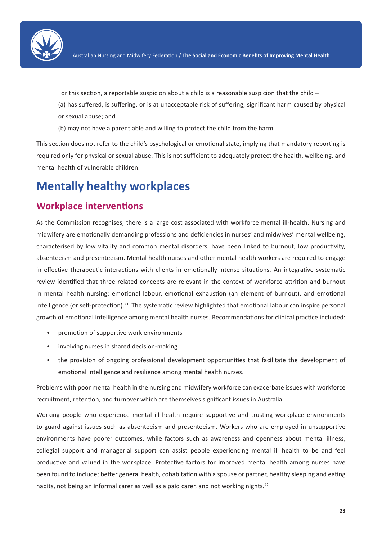

For this section, a reportable suspicion about a child is a reasonable suspicion that the child –

(a) has suffered, is suffering, or is at unacceptable risk of suffering, significant harm caused by physical or sexual abuse; and

(b) may not have a parent able and willing to protect the child from the harm.

This section does not refer to the child's psychological or emotional state, implying that mandatory reporting is required only for physical or sexual abuse. This is not sufficient to adequately protect the health, wellbeing, and mental health of vulnerable children.

### **Mentally healthy workplaces**

#### **Workplace interventions**

As the Commission recognises, there is a large cost associated with workforce mental ill-health. Nursing and midwifery are emotionally demanding professions and deficiencies in nurses' and midwives' mental wellbeing, characterised by low vitality and common mental disorders, have been linked to burnout, low productivity, absenteeism and presenteeism. Mental health nurses and other mental health workers are required to engage in effective therapeutic interactions with clients in emotionally-intense situations. An integrative systematic review identified that three related concepts are relevant in the context of workforce attrition and burnout in mental health nursing: emotional labour, emotional exhaustion (an element of burnout), and emotional intelligence (or self-protection).<sup>41</sup> The systematic review highlighted that emotional labour can inspire personal growth of emotional intelligence among mental health nurses. Recommendations for clinical practice included:

- promotion of supportive work environments
- involving nurses in shared decision-making
- the provision of ongoing professional development opportunities that facilitate the development of emotional intelligence and resilience among mental health nurses.

Problems with poor mental health in the nursing and midwifery workforce can exacerbate issues with workforce recruitment, retention, and turnover which are themselves significant issues in Australia.

Working people who experience mental ill health require supportive and trusting workplace environments to guard against issues such as absenteeism and presenteeism. Workers who are employed in unsupportive environments have poorer outcomes, while factors such as awareness and openness about mental illness, collegial support and managerial support can assist people experiencing mental ill health to be and feel productive and valued in the workplace. Protective factors for improved mental health among nurses have been found to include; better general health, cohabitation with a spouse or partner, healthy sleeping and eating habits, not being an informal carer as well as a paid carer, and not working nights.<sup>42</sup>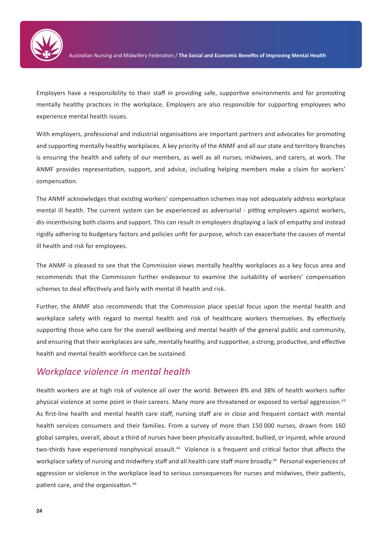

Employers have a responsibility to their staff in providing safe, supportive environments and for promoting mentally healthy practices in the workplace. Employers are also responsible for supporting employees who experience mental health issues.

With employers, professional and industrial organisations are important partners and advocates for promoting and supporting mentally healthy workplaces. A key priority of the ANMF and all our state and territory Branches is ensuring the health and safety of our members, as well as all nurses, midwives, and carers, at work. The ANMF provides representation, support, and advice, including helping members make a claim for workers' compensation.

The ANMF acknowledges that existing workers' compensation schemes may not adequately address workplace mental ill health. The current system can be experienced as adversarial - pitting employers against workers, dis-incentivising both claims and support. This can result in employers displaying a lack of empathy and instead rigidly adhering to budgetary factors and policies unfit for purpose, which can exacerbate the causes of mental ill health and risk for employees.

The ANMF is pleased to see that the Commission views mentally healthy workplaces as a key focus area and recommends that the Commission further endeavour to examine the suitability of workers' compensation schemes to deal effectively and fairly with mental ill health and risk.

Further, the ANMF also recommends that the Commission place special focus upon the mental health and workplace safety with regard to mental health and risk of healthcare workers themselves. By effectively supporting those who care for the overall wellbeing and mental health of the general public and community, and ensuring that their workplaces are safe, mentally healthy, and supportive, a strong, productive, and effective health and mental health workforce can be sustained.

#### *Workplace violence in mental health*

Health workers are at high risk of violence all over the world. Between 8% and 38% of health workers suffer physical violence at some point in their careers. Many more are threatened or exposed to verbal aggression.<sup>43</sup> As first-line health and mental health care staff, nursing staff are in close and frequent contact with mental health services consumers and their families. From a survey of more than 150 000 nurses, drawn from 160 global samples, overall, about a third of nurses have been physically assaulted, bullied, or injured, while around two-thirds have experienced nonphysical assault.<sup>44</sup> Violence is a frequent and critical factor that affects the workplace safety of nursing and midwifery staff and all health care staff more broadly.<sup>45</sup> Personal experiences of aggression or violence in the workplace lead to serious consequences for nurses and midwives, their patients, patient care, and the organisation.46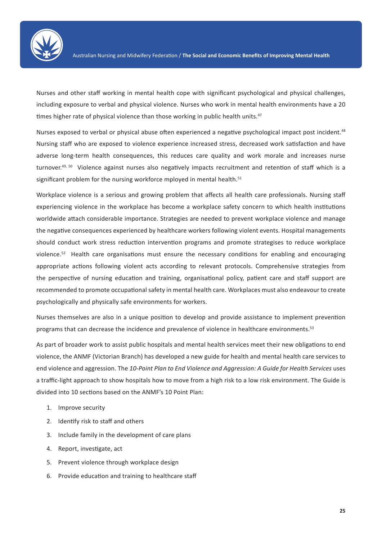

Nurses and other staff working in mental health cope with significant psychological and physical challenges, including exposure to verbal and physical violence. Nurses who work in mental health environments have a 20 times higher rate of physical violence than those working in public health units.<sup>47</sup>

Nurses exposed to verbal or physical abuse often experienced a negative psychological impact post incident.<sup>48</sup> Nursing staff who are exposed to violence experience increased stress, decreased work satisfaction and have adverse long-term health consequences, this reduces care quality and work morale and increases nurse turnover.<sup>49, 50</sup> Violence against nurses also negatively impacts recruitment and retention of staff which is a significant problem for the nursing workforce mployed in mental health.<sup>51</sup>

Workplace violence is a serious and growing problem that affects all health care professionals. Nursing staff experiencing violence in the workplace has become a workplace safety concern to which health institutions worldwide attach considerable importance. Strategies are needed to prevent workplace violence and manage the negative consequences experienced by healthcare workers following violent events. Hospital managements should conduct work stress reduction intervention programs and promote strategises to reduce workplace violence.52 Health care organisations must ensure the necessary conditions for enabling and encouraging appropriate actions following violent acts according to relevant protocols. Comprehensive strategies from the perspective of nursing education and training, organisational policy, patient care and staff support are recommended to promote occupational safety in mental health care. Workplaces must also endeavour to create psychologically and physically safe environments for workers.

Nurses themselves are also in a unique position to develop and provide assistance to implement prevention programs that can decrease the incidence and prevalence of violence in healthcare environments.53

As part of broader work to assist public hospitals and mental health services meet their new obligations to end violence, the ANMF (Victorian Branch) has developed a new guide for health and mental health care services to end violence and aggression. The 10-Point Plan to End Violence and Aggression: A Guide for Health Services uses a traffic-light approach to show hospitals how to move from a high risk to a low risk environment. The Guide is divided into 10 sections based on the ANMF's 10 Point Plan:

- 1. Improve security
- 2. Identify risk to staff and others
- 3. Include family in the development of care plans
- 4. Report, investigate, act
- 5. Prevent violence through workplace design
- 6. Provide education and training to healthcare staff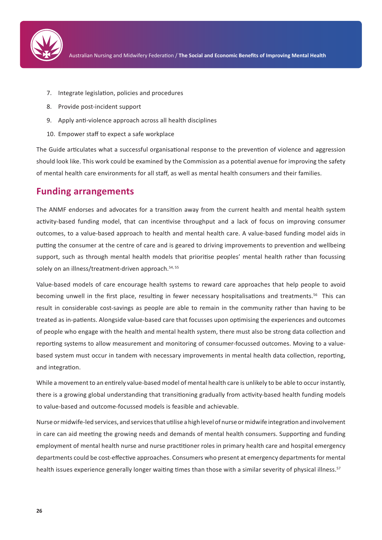

- 7. Integrate legislation, policies and procedures
- 8. Provide post-incident support
- 9. Apply anti-violence approach across all health disciplines
- 10. Empower staff to expect a safe workplace

The Guide articulates what a successful organisational response to the prevention of violence and aggression should look like. This work could be examined by the Commission as a potential avenue for improving the safety of mental health care environments for all staff, as well as mental health consumers and their families.

#### **Funding arrangements**

The ANMF endorses and advocates for a transition away from the current health and mental health system activity-based funding model, that can incentivise throughput and a lack of focus on improving consumer outcomes, to a value-based approach to health and mental health care. A value-based funding model aids in putting the consumer at the centre of care and is geared to driving improvements to prevention and wellbeing support, such as through mental health models that prioritise peoples' mental health rather than focussing solely on an illness/treatment-driven approach.<sup>54, 55</sup>

Value-based models of care encourage health systems to reward care approaches that help people to avoid becoming unwell in the first place, resulting in fewer necessary hospitalisations and treatments.<sup>56</sup> This can result in considerable cost-savings as people are able to remain in the community rather than having to be treated as in-patients. Alongside value-based care that focusses upon optimising the experiences and outcomes of people who engage with the health and mental health system, there must also be strong data collection and reporting systems to allow measurement and monitoring of consumer-focussed outcomes. Moving to a valuebased system must occur in tandem with necessary improvements in mental health data collection, reporting, and integration.

While a movement to an entirely value-based model of mental health care is unlikely to be able to occur instantly, there is a growing global understanding that transitioning gradually from activity-based health funding models to value-based and outcome-focussed models is feasible and achievable.

Nurse or midwife-led services, and services that utilise a high level of nurse or midwife integration and involvement in care can aid meeting the growing needs and demands of mental health consumers. Supporting and funding employment of mental health nurse and nurse practitioner roles in primary health care and hospital emergency departments could be cost-effective approaches. Consumers who present at emergency departments for mental health issues experience generally longer waiting times than those with a similar severity of physical illness.<sup>57</sup>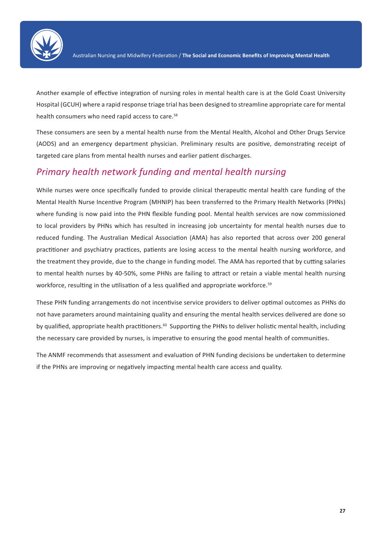

Another example of effective integration of nursing roles in mental health care is at the Gold Coast University Hospital (GCUH) where a rapid response triage trial has been designed to streamline appropriate care for mental health consumers who need rapid access to care.<sup>58</sup>

These consumers are seen by a mental health nurse from the Mental Health, Alcohol and Other Drugs Service (AODS) and an emergency department physician. Preliminary results are positive, demonstrating receipt of targeted care plans from mental health nurses and earlier patient discharges.

#### *Primary health network funding and mental health nursing*

While nurses were once specifically funded to provide clinical therapeutic mental health care funding of the Mental Health Nurse Incentive Program (MHNIP) has been transferred to the Primary Health Networks (PHNs) where funding is now paid into the PHN flexible funding pool. Mental health services are now commissioned to local providers by PHNs which has resulted in increasing job uncertainty for mental health nurses due to reduced funding. The Australian Medical Association (AMA) has also reported that across over 200 general practitioner and psychiatry practices, patients are losing access to the mental health nursing workforce, and the treatment they provide, due to the change in funding model. The AMA has reported that by cutting salaries to mental health nurses by 40-50%, some PHNs are failing to attract or retain a viable mental health nursing workforce, resulting in the utilisation of a less qualified and appropriate workforce.<sup>59</sup>

These PHN funding arrangements do not incentivise service providers to deliver optimal outcomes as PHNs do not have parameters around maintaining quality and ensuring the mental health services delivered are done so by qualified, appropriate health practitioners.<sup>60</sup> Supporting the PHNs to deliver holistic mental health, including the necessary care provided by nurses, is imperative to ensuring the good mental health of communities.

The ANMF recommends that assessment and evaluation of PHN funding decisions be undertaken to determine if the PHNs are improving or negatively impacting mental health care access and quality.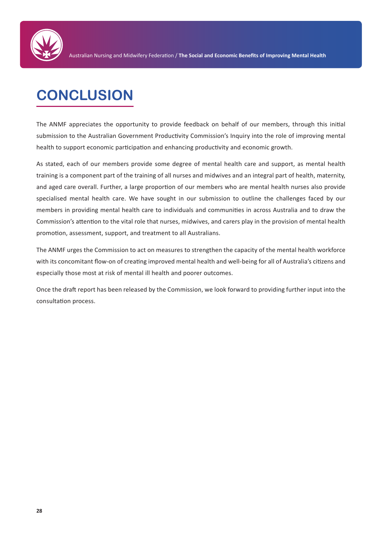

## **CONCLUSION**

The ANMF appreciates the opportunity to provide feedback on behalf of our members, through this initial submission to the Australian Government Productivity Commission's Inquiry into the role of improving mental health to support economic participation and enhancing productivity and economic growth.

As stated, each of our members provide some degree of mental health care and support, as mental health training is a component part of the training of all nurses and midwives and an integral part of health, maternity, and aged care overall. Further, a large proportion of our members who are mental health nurses also provide specialised mental health care. We have sought in our submission to outline the challenges faced by our members in providing mental health care to individuals and communities in across Australia and to draw the Commission's attention to the vital role that nurses, midwives, and carers play in the provision of mental health promotion, assessment, support, and treatment to all Australians.

The ANMF urges the Commission to act on measures to strengthen the capacity of the mental health workforce with its concomitant flow-on of creating improved mental health and well-being for all of Australia's citizens and especially those most at risk of mental ill health and poorer outcomes.

Once the draft report has been released by the Commission, we look forward to providing further input into the consultation process.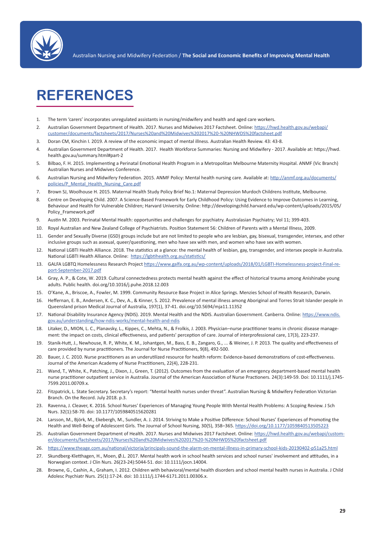

### **REFERENCES**

- 1. The term 'carers' incorporates unregulated assistants in nursing/midwifery and health and aged care workers.
- 2. Australian Government Department of Health. 2017. Nurses and Midwives 2017 Factsheet. Online: https://hwd.health.gov.au/webapi/ customer/documents/factsheets/2017/Nurses%20and%20Midwives%202017%20-%20NHWDS%20factsheet.pdf
- 3. Doran CM, Kinchin I. 2019. A review of the economic impact of mental illness. Australian Health Review. 43: 43-8.
- 4. Australian Government Department of Health. 2017. Health Workforce Summaries: Nursing and Midwifery 2017. Available at: https://hwd. health.gov.au/summary.html#part-2
- 5. Bilbao, F. H. 2015. Implementing a Perinatal Emotional Health Program in a Metropolitan Melbourne Maternity Hospital. ANMF (Vic Branch) Australian Nurses and Midwives Conference.
- 6. Australian Nursing and Midwifery Federation. 2015. ANMF Policy: Mental health nursing care. Available at: http://anmf.org.au/documents/ policies/P\_Mental\_Health\_Nursing\_Care.pdf
- 7. Brown SJ, Woolhouse H. 2015. Maternal Health Study Policy Brief No.1: Maternal Depression Murdoch Childrens Institute, Melbourne.
- 8. Centre on Developing Child. 2007. A Science-Based Framework for Early Childhood Policy: Using Evidence to Improve Outcomes in Learning, Behaviour and Health for Vulnerable Children; Harvard University. Online: http://developingchild.harvard.edu/wp-content/uploads/2015/05/ Policy\_Framework.pdf
- 9. Austin M. 2003. Perinatal Mental Health: opportunities and challenges for psychiatry. Australasian Psychiatry; Vol 11; 399-403.
- 10. Royal Australian and New Zealand College of Psychiatrists. Position Statement 56: Children of Parents with a Mental Illness, 2009.
- 11. Gender and Sexually Diverse (GSD) groups include but are not limited to people who are lesbian, gay, bisexual, transgender, intersex, and other inclusive groups such as asexual, queer/questioning, men who have sex with men, and women who have sex with women.
- 12. National LGBTI Health Alliance. 2018. The statistics at a glance: the mental health of lesbian, gay, transgender, and intersex people in Australia. National LGBTI Health Alliance. Online: <https://lgbtihealth.org.au/statistics/>
- 13. GALFA LGBTQ Homelessness Research Project [https://www.galfa.org.au/wp-content/uploads/2018/01/LGBTI-Homelessness-project-Final-re](https://www.galfa.org.au/wp-content/uploads/2018/01/LGBTI-Homelessness-project-Final-report-September-2017.pdf)[port-September-2017.pdf](https://www.galfa.org.au/wp-content/uploads/2018/01/LGBTI-Homelessness-project-Final-report-September-2017.pdf)
- 14. Gray, A. P., & Cote, W. 2019. Cultural connectedness protects mental health against the effect of historical trauma among Anishinabe young adults. Public health. doi.org/10.1016/j.puhe.2018.12.003
- 15. O'Kane, A., Briscoe, A., Fowler, M. 1999. Community Resource Base Project in Alice Springs. Menzies School of Health Research, Darwin.
- 16. Heffernan, E. B., Andersen, K. C., Dev, A., & Kinner, S. 2012. Prevalence of mental illness among Aboriginal and Torres Strait Islander people in Queensland prison Medical Journal of Australia, 197(1), 37-41. doi.org/10.5694/mja11.11352
- 17. National Disability Insurance Agency (NDIS). 2019. Mental Health and the NDIS. Australian Government. Canberra. Online: [https://www.ndis.](https://www.ndis.gov.au/understanding/how-ndis-works/mental-health-and-ndis) [gov.au/understanding/how-ndis-works/mental-health-and-ndis](https://www.ndis.gov.au/understanding/how-ndis-works/mental-health-and-ndis)
- 18. Litaker, D., MION, L. C., Planavsky, L., Kippes, C., Mehta, N., & Frolkis, J. 2003. Physician–nurse practitioner teams in chronic disease management: the impact on costs, clinical effectiveness, and patients' perception of care. Journal of interprofessional care, 17(3), 223-237.
- 19. Stanik-Hutt, J., Newhouse, R. P., White, K. M., Johantgen, M., Bass, E. B., Zangaro, G., ... & Weiner, J. P. 2013. The quality and effectiveness of care provided by nurse practitioners. The Journal for Nurse Practitioners, 9(8), 492-500.
- 20. Bauer, J. C. 2010. Nurse practitioners as an underutilized resource for health reform: Evidence-based demonstrations of cost-effectiveness. Journal of the American Academy of Nurse Practitioners, 22(4), 228-231.
- 21. Wand, T., White, K., Patching, J., Dixon, J., Green, T. (2012). Outcomes from the evaluation of an emergency department‐based mental health nurse practitioner outpatient service in Australia. Journal of the American Association of Nurse Practioners. 24(3):149-59. Doi: 10.1111/j.1745- 7599.2011.00709.x.
- 22. Fitzpatrick, L. State Secretary. Secretary's report: "Mental health nurses under threat". Australian Nursing & Midwifery Federation Victorian Branch. On the Record. July 2018. p.3.
- 23. Ravenna, J. Cleaver, K. 2016. School Nurses' Experiences of Managing Young People With Mental Health Problems: A Scoping Review. J Sch Nurs. 32(1):58-70. doi: 10.1177/1059840515620281
- 24. Larsson, M., Björk, M., Ekebergh, M., Sundler, A. J. 2014. Striving to Make a Positive Difference: School Nurses' Experiences of Promoting the Health and Well-Being of Adolescent Girls. The Journal of School Nursing, 30(5), 358–365. [https://doi.org/10.1177/1059840513505223](https://hwd.health.gov.au/webapi/customer/documents/factsheets/2017/Nurses%20and%20Midwives%202017%20-%20NHWDS%20factsheet.pdf)
- 25. Australian Government Department of Health. 2017. Nurses and Midwives 2017 Factsheet. Online: [https://hwd.health.gov.au/webapi/custom](https://hwd.health.gov.au/webapi/customer/documents/factsheets/2017/Nurses%20and%20Midwives%202017%20-%20NHWDS%20factsheet.pdf)[er/documents/factsheets/2017/Nurses%20and%20Midwives%202017%20-%20NHWDS%20factsheet.pdf](https://hwd.health.gov.au/webapi/customer/documents/factsheets/2017/Nurses%20and%20Midwives%202017%20-%20NHWDS%20factsheet.pdf)
- 26. https://www.theage.com.au/national/victoria/principals-sound-the-alarm-on-mental-illness-in-primary-school-kids-20190402-p51a25.html
- 27. Skundberg-Kletthagen, H., Moen, Ø.L. 2017. Mental health work in school health services and school nurses' involvement and attitudes, in a Norwegian context. J Clin Nurs. 26(23-24):5044-51. doi: 10.1111/jocn.14004.
- 28. Browne, G., Cashin, A., Graham, I. 2012. Children with behavioral/mental health disorders and school mental health nurses in Australia. J Child Adolesc Psychiatr Nurs. 25(1):17-24. doi: 10.1111/j.1744-6171.2011.00306.x.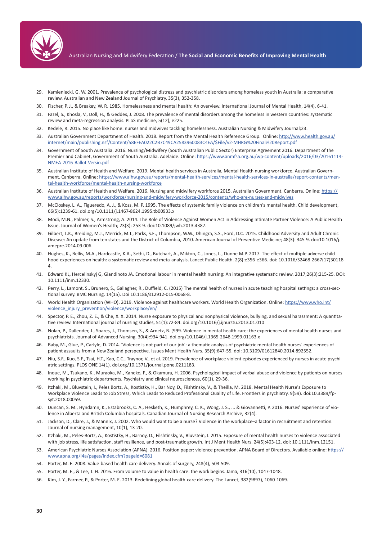

- 29. Kamieniecki, G. W. 2001. Prevalence of psychological distress and psychiatric disorders among homeless youth in Australia: a comparative review. Australian and New Zealand Journal of Psychiatry, 35(3), 352-358.
- 30. Fischer, P. J., & Breakey, W. R. 1985. Homelessness and mental health: An overview. International Journal of Mental Health, 14(4), 6-41.
- 31. Fazel, S., Khosla, V., Doll, H., & Geddes, J. 2008. The prevalence of mental disorders among the homeless in western countries: systematic review and meta-regression analysis. PLoS medicine, 5(12), e225.
- 32. Kedele, R. 2015. No place like home: nurses and midwives tackling homelessness. Australian Nursing & Midwifery Journal;23.
- 33. Australian Government Department of Health. 2018. Report from the Mental Health Reference Group. Online: http://www.health.gov.au/ internet/main/publishing.nsf/Content/58EFEA022C2B7C49CA2583960083C4EA/\$File/v2-MHRG%20Final%20Report.pdf
- 34. Government of South Australia. 2016. Nursing/Midwifery (South Australian Public Sector) Enterprise Agreement 2016. Department of the Premier and Cabinet, Government of South Australia. Adelaide. Online: [https://www.anmfsa.org.au/wp-content/uploads/2016/03/20161114-](https://www.anmfsa.org.au/wp-content/uploads/2016/03/20161114-NMEA-2016-Ballot-Versio.pdf ) [NMEA-2016-Ballot-Versio.pdf](https://www.anmfsa.org.au/wp-content/uploads/2016/03/20161114-NMEA-2016-Ballot-Versio.pdf )
- 35. Australian Institute of Health and Welfare. 2019. Mental health services in Australia, Mental Health nursing workforce. Australian Government. Canberra. Online: [https://www.aihw.gov.au/reports/mental-health-services/mental-health-services-in-australia/report-contents/men](https://www.aihw.gov.au/reports/mental-health-services/mental-health-services-in-australia/report-contents/mental-health-workforce/mental-health-nursing-workforce)[tal-health-workforce/mental-health-nursing-workforce](https://www.aihw.gov.au/reports/mental-health-services/mental-health-services-in-australia/report-contents/mental-health-workforce/mental-health-nursing-workforce)
- 36. Australian Institute of Health and Welfare. 2016. Nursing and midwifery workforce 2015. Australian Government. Canberra. Online: [https://](https://www.aihw.gov.au/reports/workforce/nursing-and-midwifery-workforce-2015/contents/who-are-nurses-and-midwives) [www.aihw.gov.au/reports/workforce/nursing-and-midwifery-workforce-2015/contents/who-are-nurses-and-midwives](https://www.aihw.gov.au/reports/workforce/nursing-and-midwifery-workforce-2015/contents/who-are-nurses-and-midwives)
- 37. McCloskey, L. A., Figueredo, A. J., & Koss, M. P. 1995. The effects of systemic family violence on children's mental health. Child development, 66(5):1239-61. doi.org/10.1111/j.1467-8624.1995.tb00933.x
- 38. Modi, M.N., Palmer, S., Armstrong, A. 2014. The Role of Violence Against Women Act in Addressing Intimate Partner Violence: A Public Health Issue. Journal of Women's Health; 23(3): 253-9. doi:10.1089/jwh.2013.4387.
- 39. Gilbert, L.K., Breiding, M.J., Merrick, M.T., Parks, S.E., Thompson, W.W., Dhingra, S.S., Ford, D.C. 2015. Childhood Adversity and Adult Chronic Disease: An update from ten states and the District of Columbia, 2010. American Journal of Preventive Medicine; 48(3): 345-9. doi:10.1016/j. amepre.2014.09.006.
- 40. Hughes, K., Bellis, M.A., Hardcastle, K.A., Sethi, D., Butchart, A., Mikton, C., Jones, L., Dunne M.P. 2017. The effect of multiple adverse childhood experiences on health: a systematic review and meta-analysis. Lancet Public Health. 2(8):e356-e366. doi: 10.1016/S2468-2667(17)30118- 4.
- 41. Edward KL, Hercelinskyj G, Giandinoto JA. Emotional labour in mental health nursing: An integrative systematic review. 2017;26(3):215-25. DOI: 10.1111/inm.12330.
- 42. Perry, L., Lamont, S., Brunero, S., Gallagher, R., Duffield, C. (2015) The mental health of nurses in acute teaching hospital settings: a cross-sectional survey. BMC Nursing. 14(15). Doi 10.1186/s12912-015-0068-8.
- 43. World Health Organization (WHO). 2019. Violence against healthcare workers. World Health Organization. Online: [https://www.who.int/](https://www.who.int/violence_injury_prevention/violence/workplace/en/) [violence\\_injury\\_prevention/violence/workplace/en/](https://www.who.int/violence_injury_prevention/violence/workplace/en/)
- 44. Spector, P. E., Zhou, Z. E., & Che, X. X. 2014. Nurse exposure to physical and nonphysical violence, bullying, and sexual harassment: A quantitative review. International journal of nursing studies, 51(1):72-84. doi.org/10.1016/j.ijnurstu.2013.01.010
- 45. Nolan, P., Dallender, J., Soares, J., Thomsen, S., & Arnetz, B. (999. Violence in mental health care: the experiences of mental health nurses and psychiatrists. Journal of Advanced Nursing. 30(4):934-941. doi.org/10.1046/j.1365-2648.1999.01163.x
- 46. Baby, M., Glue, P., Carlyle, D. 2014. 'Violence is not part of our job': a thematic analysis of psychiatric mental health nurses' experiences of patient assaults from a New Zealand perspective. Issues Ment Health Nurs. 35(9):647-55. doi: 10.3109/01612840.2014.892552.
- 47. Niu, S.F., Kuo, S.F., Tsai, H.T., Kao, C.C., Traynor, V., et al. 2019. Prevalence of workplace violent episodes experienced by nurses in acute psychiatric settings. PLOS ONE 14(1). doi.org/10.1371/journal.pone.0211183.
- 48. Inoue, M., Tsukano, K., Muraoka, M., Kaneko, F., & Okamura, H. 2006. Psychological impact of verbal abuse and violence by patients on nurses working in psychiatric departments. Psychiatry and clinical neurosciences, 60(1), 29-36.
- 49. Itzhaki, M., Bluvstein, I., Peles Bortz, A., Kostistky, H., Bar Noy, D., Filshtinsky, V., & Theilla, M. 2018. Mental Health Nurse's Exposure to Workplace Violence Leads to Job Stress, Which Leads to Reduced Professional Quality of Life. Frontiers in psychiatry. 9(59). doi:10.3389/fpsyt.2018.00059.
- 50. Duncan, S. M., Hyndamn, K., Estabrooks, C. A., Hesketh, K., Humphrey, C. K., Wong, J. S., ... & Giovannetti, P. 2016. Nurses' experience of violence in Alberta and British Columbia hospitals. Canadian Journal of Nursing Research Archive, 32(4).
- 51. Jackson, D., Clare, J., & Mannix, J. 2002. Who would want to be a nurse? Violence in the workplace–a factor in recruitment and retention. Journal of nursing management, 10(1), 13-20.
- 52. Itzhaki, M., Peles-Bortz, A., Kostistky, H., Barnoy, D., Filshtinsky, V., Bluvstein, I. 2015. Exposure of mental health nurses to violence associated with job stress, life satisfaction, staff resilience, and post-traumatic growth. Int J Ment Health Nurs. 24(5):403-12. doi: 10.1111/inm.12151.
- 53. American Psychiatric Nurses Association (APNA). 2016. Position paper: violence prevention. APNA Board of Directors. Available online: [https://](ttps://www.apna.org/i4a/pages/index.cfm?pageid=6081) [www.apna.org/i4a/pages/index.cfm?pageid=6081](ttps://www.apna.org/i4a/pages/index.cfm?pageid=6081)
- 54. Porter, M. E. 2008. Value-based health care delivery. Annals of surgery, 248(4), 503-509.
- 55. Porter, M. E., & Lee, T. H. 2016. From volume to value in health care: the work begins. Jama, 316(10), 1047-1048.
- 56. Kim, J. Y., Farmer, P., & Porter, M. E. 2013. Redefining global health-care delivery. The Lancet, 382(9897), 1060-1069.